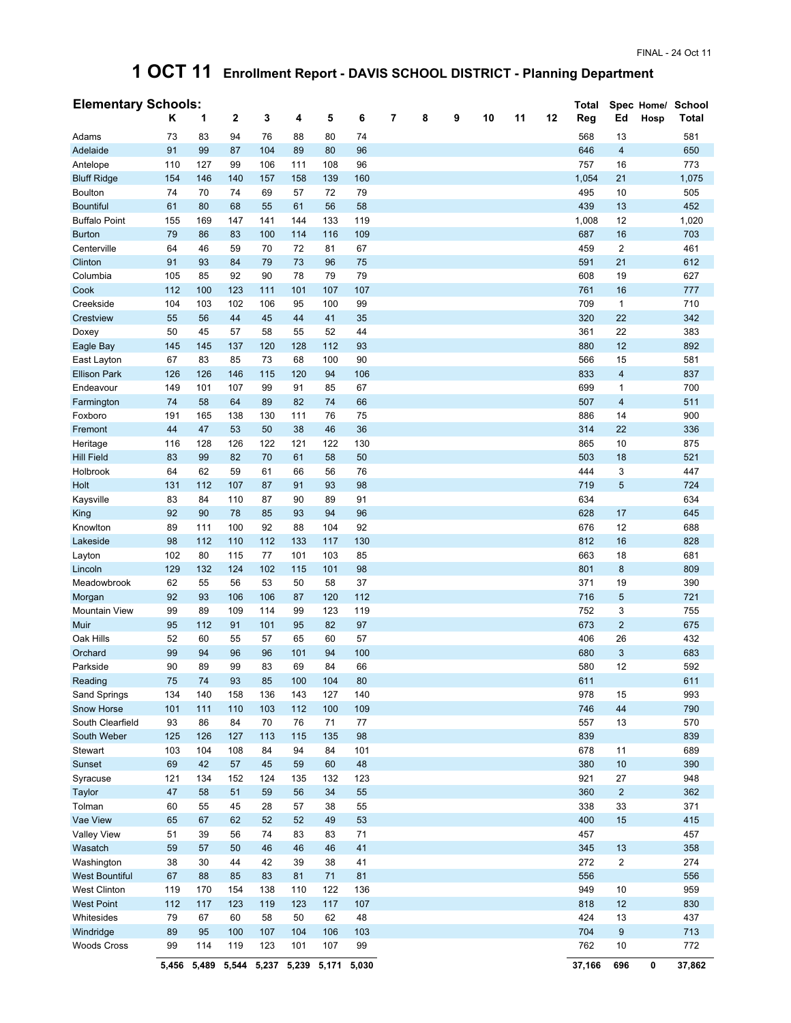## **1 OCT 11 Enrollment Report - DAVIS SCHOOL DISTRICT - Planning Department**

| <b>Elementary Schools:</b> |     |     |     |     |     |     |     |   |   |   |    |    |    | Total |                  |      | Spec Home/ School |
|----------------------------|-----|-----|-----|-----|-----|-----|-----|---|---|---|----|----|----|-------|------------------|------|-------------------|
|                            | Κ   | 1   | 2   | 3   | 4   | 5   | 6   | 7 | 8 | 9 | 10 | 11 | 12 | Reg   | Ed               | Hosp | Total             |
| Adams                      | 73  | 83  | 94  | 76  | 88  | 80  | 74  |   |   |   |    |    |    | 568   | 13               |      | 581               |
| Adelaide                   | 91  | 99  | 87  | 104 | 89  | 80  | 96  |   |   |   |    |    |    | 646   | $\overline{4}$   |      | 650               |
| Antelope                   | 110 | 127 | 99  | 106 | 111 | 108 | 96  |   |   |   |    |    |    | 757   | 16               |      | 773               |
| <b>Bluff Ridge</b>         | 154 | 146 | 140 | 157 | 158 | 139 | 160 |   |   |   |    |    |    | 1,054 | 21               |      | 1,075             |
| <b>Boulton</b>             | 74  | 70  | 74  | 69  | 57  | 72  | 79  |   |   |   |    |    |    | 495   | 10               |      | 505               |
| <b>Bountiful</b>           | 61  | 80  | 68  | 55  | 61  | 56  | 58  |   |   |   |    |    |    | 439   | 13               |      | 452               |
| <b>Buffalo Point</b>       | 155 | 169 | 147 | 141 | 144 | 133 | 119 |   |   |   |    |    |    | 1,008 | 12               |      | 1,020             |
| <b>Burton</b>              | 79  | 86  | 83  | 100 | 114 | 116 | 109 |   |   |   |    |    |    | 687   | 16               |      | 703               |
| Centerville                | 64  | 46  | 59  | 70  | 72  | 81  | 67  |   |   |   |    |    |    | 459   | $\overline{2}$   |      | 461               |
| Clinton                    | 91  | 93  | 84  | 79  | 73  | 96  | 75  |   |   |   |    |    |    | 591   | 21               |      | 612               |
| Columbia                   | 105 | 85  | 92  | 90  | 78  | 79  | 79  |   |   |   |    |    |    | 608   | 19               |      | 627               |
| Cook                       | 112 | 100 | 123 | 111 | 101 | 107 | 107 |   |   |   |    |    |    | 761   | 16               |      | 777               |
| Creekside                  | 104 | 103 | 102 | 106 | 95  | 100 | 99  |   |   |   |    |    |    | 709   | $\mathbf{1}$     |      | 710               |
| Crestview                  | 55  | 56  | 44  | 45  | 44  | 41  | 35  |   |   |   |    |    |    | 320   | 22               |      | 342               |
| Doxey                      | 50  | 45  | 57  | 58  | 55  | 52  | 44  |   |   |   |    |    |    | 361   | 22               |      | 383               |
| Eagle Bay                  | 145 | 145 | 137 | 120 | 128 | 112 | 93  |   |   |   |    |    |    | 880   | 12               |      | 892               |
| East Layton                | 67  | 83  | 85  | 73  | 68  | 100 | 90  |   |   |   |    |    |    | 566   | 15               |      | 581               |
| <b>Ellison Park</b>        | 126 | 126 | 146 | 115 | 120 | 94  | 106 |   |   |   |    |    |    | 833   | $\overline{4}$   |      | 837               |
| Endeavour                  | 149 | 101 | 107 | 99  | 91  | 85  | 67  |   |   |   |    |    |    | 699   | 1                |      | 700               |
| Farmington                 | 74  | 58  | 64  | 89  | 82  | 74  | 66  |   |   |   |    |    |    | 507   | $\overline{4}$   |      | 511               |
| Foxboro                    | 191 | 165 | 138 | 130 | 111 | 76  | 75  |   |   |   |    |    |    | 886   | 14               |      | 900               |
| Fremont                    | 44  | 47  | 53  | 50  | 38  | 46  | 36  |   |   |   |    |    |    | 314   | 22               |      | 336               |
| Heritage                   | 116 | 128 | 126 | 122 | 121 | 122 | 130 |   |   |   |    |    |    | 865   | 10               |      | 875               |
| <b>Hill Field</b>          | 83  | 99  | 82  | 70  | 61  | 58  | 50  |   |   |   |    |    |    | 503   | 18               |      | 521               |
| Holbrook                   | 64  | 62  | 59  | 61  | 66  | 56  | 76  |   |   |   |    |    |    | 444   | 3                |      | 447               |
| Holt                       | 131 | 112 | 107 | 87  | 91  | 93  | 98  |   |   |   |    |    |    | 719   | 5                |      | 724               |
| Kaysville                  | 83  | 84  | 110 | 87  | 90  | 89  | 91  |   |   |   |    |    |    | 634   |                  |      | 634               |
| King                       | 92  | 90  | 78  | 85  | 93  | 94  | 96  |   |   |   |    |    |    | 628   | 17               |      | 645               |
| Knowlton                   | 89  | 111 | 100 | 92  | 88  | 104 | 92  |   |   |   |    |    |    | 676   | 12               |      | 688               |
| Lakeside                   | 98  | 112 | 110 | 112 | 133 | 117 | 130 |   |   |   |    |    |    | 812   | 16               |      | 828               |
| Layton                     | 102 | 80  | 115 | 77  | 101 | 103 | 85  |   |   |   |    |    |    | 663   | 18               |      | 681               |
| Lincoln                    | 129 | 132 | 124 | 102 | 115 | 101 | 98  |   |   |   |    |    |    | 801   | 8                |      | 809               |
| Meadowbrook                | 62  | 55  | 56  | 53  | 50  | 58  | 37  |   |   |   |    |    |    | 371   | 19               |      | 390               |
| Morgan                     | 92  | 93  | 106 | 106 | 87  | 120 | 112 |   |   |   |    |    |    | 716   | 5                |      | 721               |
| <b>Mountain View</b>       | 99  | 89  | 109 | 114 | 99  | 123 | 119 |   |   |   |    |    |    | 752   | 3                |      | 755               |
| Muir                       | 95  | 112 | 91  | 101 | 95  | 82  | 97  |   |   |   |    |    |    | 673   | $\overline{2}$   |      | 675               |
| Oak Hills                  | 52  | 60  | 55  | 57  | 65  | 60  | 57  |   |   |   |    |    |    | 406   | 26               |      | 432               |
| Orchard                    | 99  | 94  | 96  | 96  | 101 | 94  | 100 |   |   |   |    |    |    | 680   | 3                |      | 683               |
| Parkside                   | 90  | 89  | 99  | 83  | 69  | 84  | 66  |   |   |   |    |    |    | 580   | 12               |      | 592               |
| Reading                    | 75  | 74  | 93  | 85  | 100 | 104 | 80  |   |   |   |    |    |    | 611   |                  |      | 611               |
| Sand Springs               | 134 | 140 | 158 | 136 | 143 | 127 | 140 |   |   |   |    |    |    | 978   | 15               |      | 993               |
| Snow Horse                 | 101 | 111 | 110 | 103 | 112 | 100 | 109 |   |   |   |    |    |    | 746   | 44               |      | 790               |
| South Clearfield           | 93  | 86  | 84  | 70  | 76  | 71  | 77  |   |   |   |    |    |    | 557   | 13               |      | 570               |
| South Weber                | 125 | 126 | 127 | 113 | 115 | 135 | 98  |   |   |   |    |    |    | 839   |                  |      | 839               |
| Stewart                    | 103 | 104 | 108 | 84  | 94  | 84  | 101 |   |   |   |    |    |    | 678   | 11               |      | 689               |
| Sunset                     | 69  | 42  | 57  | 45  | 59  | 60  | 48  |   |   |   |    |    |    | 380   | 10               |      | 390               |
| Syracuse                   | 121 | 134 | 152 | 124 | 135 | 132 | 123 |   |   |   |    |    |    | 921   | 27               |      | 948               |
| Taylor                     | 47  | 58  | 51  | 59  | 56  | 34  | 55  |   |   |   |    |    |    | 360   | $\overline{2}$   |      | 362               |
| Tolman                     | 60  | 55  | 45  | 28  | 57  | 38  | 55  |   |   |   |    |    |    | 338   | 33               |      | 371               |
| Vae View                   | 65  | 67  | 62  | 52  | 52  | 49  | 53  |   |   |   |    |    |    | 400   | 15               |      | 415               |
| <b>Valley View</b>         | 51  | 39  | 56  | 74  | 83  | 83  | 71  |   |   |   |    |    |    | 457   |                  |      | 457               |
| Wasatch                    | 59  | 57  | 50  | 46  | 46  | 46  | 41  |   |   |   |    |    |    | 345   | 13               |      | 358               |
| Washington                 | 38  | 30  | 44  | 42  | 39  | 38  | 41  |   |   |   |    |    |    | 272   | $\overline{2}$   |      | 274               |
| <b>West Bountiful</b>      | 67  | 88  | 85  | 83  | 81  | 71  | 81  |   |   |   |    |    |    | 556   |                  |      | 556               |
| <b>West Clinton</b>        | 119 | 170 | 154 | 138 | 110 | 122 | 136 |   |   |   |    |    |    | 949   | 10               |      | 959               |
| <b>West Point</b>          | 112 | 117 | 123 | 119 | 123 | 117 | 107 |   |   |   |    |    |    | 818   | 12               |      | 830               |
| Whitesides                 | 79  | 67  | 60  | 58  | 50  | 62  | 48  |   |   |   |    |    |    | 424   | 13               |      | 437               |
| Windridge                  | 89  | 95  | 100 | 107 | 104 | 106 | 103 |   |   |   |    |    |    | 704   | $\boldsymbol{9}$ |      | 713               |
| <b>Woods Cross</b>         | 99  | 114 | 119 | 123 | 101 | 107 | 99  |   |   |   |    |    |    | 762   | 10               |      | 772               |
|                            |     |     |     |     |     |     |     |   |   |   |    |    |    |       |                  |      |                   |

**5,456 5,489 5,544 5,237 5,239 5,171 5,030 37,166 696 0 37,862**